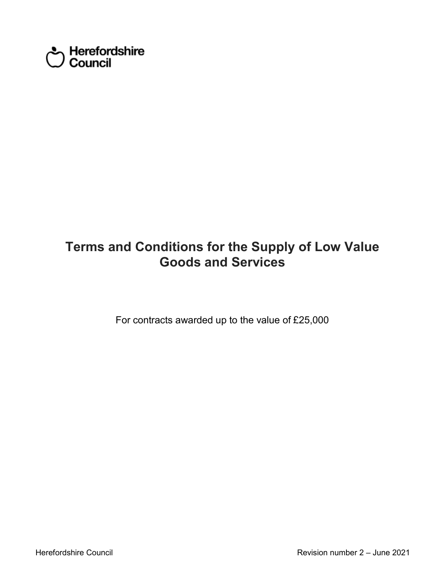

# **Goods and Services Terms and Conditions for the Supply of Low Value**

For contracts awarded up to the value of £25,000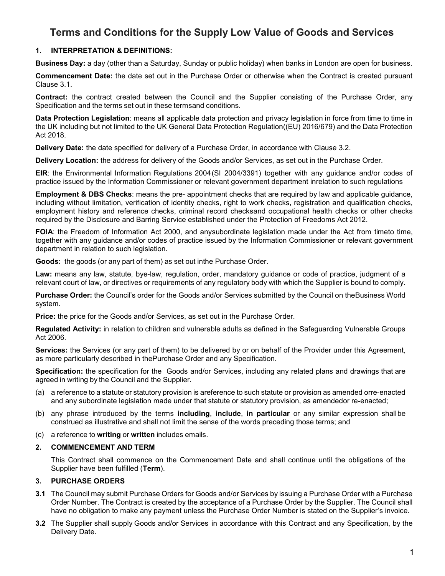# **1. INTERPRETATION & DEFINITIONS:**

**Business Day:** a day (other than a Saturday, Sunday or public holiday) when banks in London are open for business.

 **Commencement Date:** the date set out in the Purchase Order or otherwise when the Contract is created pursuant Clause 3.1.

 **Contract:** the contract created between the Council and the Supplier consisting of the Purchase Order, any Specification and the terms set out in these termsand conditions.

 **Data Protection Legislation**: means all applicable data protection and privacy legislation in force from time to time in the UK including but not limited to the UK General Data Protection Regulation((EU) 2016/679) and the Data Protection Act 2018.

**Delivery Date:** the date specified for delivery of a Purchase Order, in accordance with Clause 3.2.

**Delivery Location:** the address for delivery of the Goods and/or Services, as set out in the Purchase Order.

 **EIR**: the Environmental Information Regulations 2004(SI 2004/3391) together with any guidance and/or codes of practice issued by the Information Commissioner or relevant government department inrelation to such regulations

 **Employment & DBS Checks**: means the pre- appointment checks that are required by law and applicable guidance, including without limitation, verification of identity checks, right to work checks, registration and qualification checks, employment history and reference checks, criminal record checksand occupational health checks or other checks required by the Disclosure and Barring Service established under the Protection of Freedoms Act 2012.

 department in relation to such legislation. **FOIA**: the Freedom of Information Act 2000, and anysubordinate legislation made under the Act from timeto time, together with any guidance and/or codes of practice issued by the Information Commissioner or relevant government

**Goods:** the goods (or any part of them) as set out inthe Purchase Order.

 **Law:** means any law, statute, bye-law, regulation, order, mandatory guidance or code of practice, judgment of a relevant court of law, or directives or requirements of any regulatory body with which the Supplier is bound to comply.

 **Purchase Order:** the Council's order for the Goods and/or Services submitted by the Council on theBusiness World system.

**Price:** the price for the Goods and/or Services, as set out in the Purchase Order.

 **Regulated Activity:** in relation to children and vulnerable adults as defined in the Safeguarding Vulnerable Groups Act 2006.

 **Services:** the Services (or any part of them) to be delivered by or on behalf of the Provider under this Agreement, as more particularly described in thePurchase Order and any Specification.

 **Specification:** the specification for the Goods and/or Services, including any related plans and drawings that are agreed in writing by the Council and the Supplier.

- (a) a reference to a statute or statutory provision is areference to such statute or provision as amended orre-enacted and any subordinate legislation made under that statute or statutory provision, as amendedor re-enacted;
- (b) any phrase introduced by the terms **including**, **include**, **in particular** or any similar expression shallbe construed as illustrative and shall not limit the sense of the words preceding those terms; and
- (c) a reference to **writing** or **written** includes emails.

# **2. COMMENCEMENT AND TERM**

 Supplier have been fulfilled (**Term**). This Contract shall commence on the Commencement Date and shall continue until the obligations of the

# **3. PURCHASE ORDERS**

- have no obligation to make any payment unless the Purchase Order Number is stated on the Supplier's invoice. **3.1** The Council may submit Purchase Orders for Goods and/or Services by issuing a Purchase Order with a Purchase Order Number. The Contract is created by the acceptance of a Purchase Order by the Supplier. The Council shall
- **3.2** The Supplier shall supply Goods and/or Services in accordance with this Contract and any Specification, by the Delivery Date.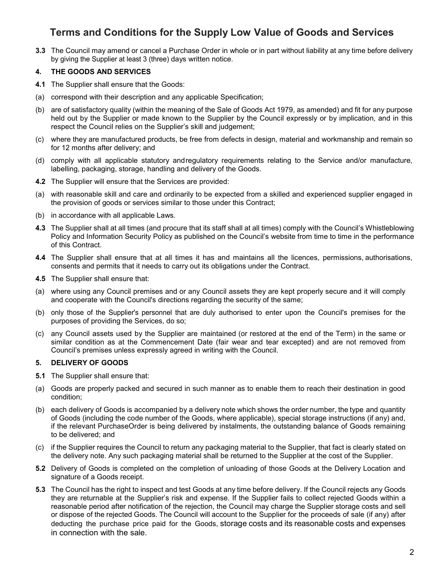**3.3** The Council may amend or cancel a Purchase Order in whole or in part without liability at any time before delivery by giving the Supplier at least 3 (three) days written notice.

# **4. THE GOODS AND SERVICES**

- **4.1** The Supplier shall ensure that the Goods:
- (a) correspond with their description and any applicable Specification;
- held out by the Supplier or made known to the Supplier by the Council expressly or by implication, and in this respect the Council relies on the Supplier's skill and judgement; (b) are of satisfactory quality (within the meaning of the Sale of Goods Act 1979, as amended) and fit for any purpose
- (c) where they are manufactured products, be free from defects in design, material and workmanship and remain so for 12 months after delivery; and
- (d) comply with all applicable statutory andregulatory requirements relating to the Service and/or manufacture, labelling, packaging, storage, handling and delivery of the Goods.
- **4.2** The Supplier will ensure that the Services are provided:
- (a) with reasonable skill and care and ordinarily to be expected from a skilled and experienced supplier engaged in the provision of goods or services similar to those under this Contract;
- (b) in accordance with all applicable Laws.
- **4.3** The Supplier shall at all times (and procure that its staff shall at all times) comply with the Council's Whistleblowing Policy and Information Security Policy as published on the Council's website from time to time in the performance of this Contract.
- **4.4** The Supplier shall ensure that at all times it has and maintains all the licences, permissions, authorisations, consents and permits that it needs to carry out its obligations under the Contract.
- **4.5** The Supplier shall ensure that:
- (a) where using any Council premises and or any Council assets they are kept properly secure and it will comply and cooperate with the Council's directions regarding the security of the same;
- (b) only those of the Supplier's personnel that are duly authorised to enter upon the Council's premises for the purposes of providing the Services, do so;
- (c) any Council assets used by the Supplier are maintained (or restored at the end of the Term) in the same or similar condition as at the Commencement Date (fair wear and tear excepted) and are not removed from Council's premises unless expressly agreed in writing with the Council.

# **5. DELIVERY OF GOODS**

- **5.1** The Supplier shall ensure that:
- (a) Goods are properly packed and secured in such manner as to enable them to reach their destination in good condition;
- (b) each delivery of Goods is accompanied by a delivery note which shows the order number, the type and quantity of Goods (including the code number of the Goods, where applicable), special storage instructions (if any) and, if the relevant PurchaseOrder is being delivered by instalments, the outstanding balance of Goods remaining to be delivered; and
- (c) if the Supplier requires the Council to return any packaging material to the Supplier, that fact is clearly stated on the delivery note. Any such packaging material shall be returned to the Supplier at the cost of the Supplier.
- **5.2** Delivery of Goods is completed on the completion of unloading of those Goods at the Delivery Location and signature of a Goods receipt.
- **5.3** The Council has the right to inspect and test Goods at any time before delivery. If the Council rejects any Goods they are returnable at the Supplier's risk and expense. If the Supplier fails to collect rejected Goods within a reasonable period after notification of the rejection, the Council may charge the Supplier storage costs and sell or dispose of the rejected Goods. The Council will account to the Supplier for the proceeds of sale (if any) after deducting the purchase price paid for the Goods, storage costs and its reasonable costs and expenses in connection with the sale.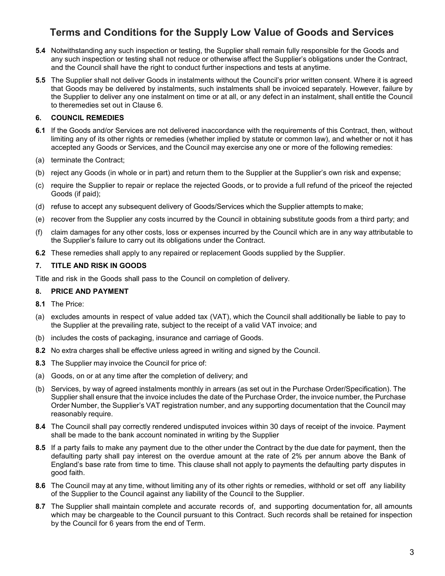- any such inspection or testing shall not reduce or otherwise affect the Supplier's obligations under the Contract, **5.4** Notwithstanding any such inspection or testing, the Supplier shall remain fully responsible for the Goods and and the Council shall have the right to conduct further inspections and tests at anytime.
- **5.5** The Supplier shall not deliver Goods in instalments without the Council's prior written consent. Where it is agreed that Goods may be delivered by instalments, such instalments shall be invoiced separately. However, failure by the Supplier to deliver any one instalment on time or at all, or any defect in an instalment, shall entitle the Council to theremedies set out in Clause 6.

# **6. COUNCIL REMEDIES**

- **6.1** If the Goods and/or Services are not delivered inaccordance with the requirements of this Contract, then, without limiting any of its other rights or remedies (whether implied by statute or common law), and whether or not it has accepted any Goods or Services, and the Council may exercise any one or more of the following remedies:
- (a) terminate the Contract;
- (b) reject any Goods (in whole or in part) and return them to the Supplier at the Supplier's own risk and expense;
- (c) require the Supplier to repair or replace the rejected Goods, or to provide a full refund of the priceof the rejected Goods (if paid);
- (d) refuse to accept any subsequent delivery of Goods/Services which the Supplier attempts to make;
- (e) recover from the Supplier any costs incurred by the Council in obtaining substitute goods from a third party; and
- (f) claim damages for any other costs, loss or expenses incurred by the Council which are in any way attributable to the Supplier's failure to carry out its obligations under the Contract.
- **6.2** These remedies shall apply to any repaired or replacement Goods supplied by the Supplier.

# **7. TITLE AND RISK IN GOODS**

Title and risk in the Goods shall pass to the Council on completion of delivery.

#### **8. PRICE AND PAYMENT**

- **8.1** The Price:
- (a) excludes amounts in respect of value added tax (VAT), which the Council shall additionally be liable to pay to the Supplier at the prevailing rate, subject to the receipt of a valid VAT invoice; and
- (b) includes the costs of packaging, insurance and carriage of Goods.
- **8.2** No extra charges shall be effective unless agreed in writing and signed by the Council.
- **8.3** The Supplier may invoice the Council for price of:
- (a) Goods, on or at any time after the completion of delivery; and
- (b) Services, by way of agreed instalments monthly in arrears (as set out in the Purchase Order/Specification). The Supplier shall ensure that the invoice includes the date of the Purchase Order, the invoice number, the Purchase Order Number, the Supplier's VAT registration number, and any supporting documentation that the Council may reasonably require.
- **8.4** The Council shall pay correctly rendered undisputed invoices within 30 days of receipt of the invoice. Payment shall be made to the bank account nominated in writing by the Supplier
- **8.5** If a party fails to make any payment due to the other under the Contract by the due date for payment, then the defaulting party shall pay interest on the overdue amount at the rate of 2% per annum above the Bank of England's base rate from time to time. This clause shall not apply to payments the defaulting party disputes in good faith.
- **8.6** The Council may at any time, without limiting any of its other rights or remedies, withhold or set off any liability of the Supplier to the Council against any liability of the Council to the Supplier.
- **8.7** The Supplier shall maintain complete and accurate records of, and supporting documentation for, all amounts which may be chargeable to the Council pursuant to this Contract. Such records shall be retained for inspection by the Council for 6 years from the end of Term.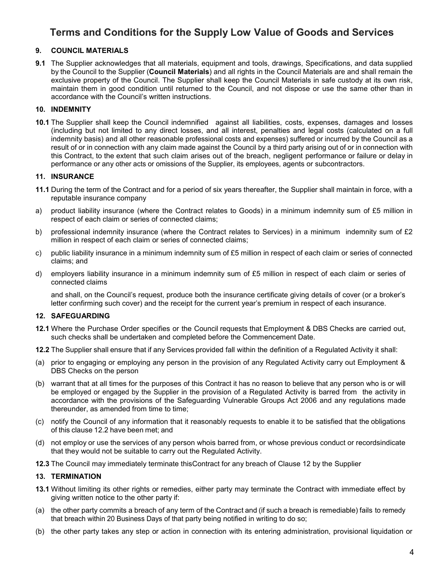# **9. COUNCIL MATERIALS**

 **9.1** The Supplier acknowledges that all materials, equipment and tools, drawings, Specifications, and data supplied by the Council to the Supplier (**Council Materials**) and all rights in the Council Materials are and shall remain the exclusive property of the Council. The Supplier shall keep the Council Materials in safe custody at its own risk, maintain them in good condition until returned to the Council, and not dispose or use the same other than in accordance with the Council's written instructions.

### **10. INDEMNITY**

 **10.1** The Supplier shall keep the Council indemnified against all liabilities, costs, expenses, damages and losses (including but not limited to any direct losses, and all interest, penalties and legal costs (calculated on a full indemnity basis) and all other reasonable professional costs and expenses) suffered or incurred by the Council as a result of or in connection with any claim made against the Council by a third party arising out of or in connection with this Contract, to the extent that such claim arises out of the breach, negligent performance or failure or delay in performance or any other acts or omissions of the Supplier, its employees, agents or subcontractors.

#### **11. INSURANCE**

- **11.1** During the term of the Contract and for a period of six years thereafter, the Supplier shall maintain in force, with a reputable insurance company
- a) product liability insurance (where the Contract relates to Goods) in a minimum indemnity sum of £5 million in respect of each claim or series of connected claims;
- b) professional indemnity insurance (where the Contract relates to Services) in a minimum indemnity sum of £2 million in respect of each claim or series of connected claims;
- c) public liability insurance in a minimum indemnity sum of £5 million in respect of each claim or series of connected claims; and
- d) employers liability insurance in a minimum indemnity sum of £5 million in respect of each claim or series of connected claims

 and shall, on the Council's request, produce both the insurance certificate giving details of cover (or a broker's letter confirming such cover) and the receipt for the current year's premium in respect of each insurance.

### **12. SAFEGUARDING**

- **12.1** Where the Purchase Order specifies or the Council requests that Employment & DBS Checks are carried out, such checks shall be undertaken and completed before the Commencement Date.
- **12.2** The Supplier shall ensure that if any Services provided fall within the definition of a Regulated Activity it shall:
- (a) prior to engaging or employing any person in the provision of any Regulated Activity carry out Employment & DBS Checks on the person
- (b) warrant that at all times for the purposes of this Contract it has no reason to believe that any person who is or will be employed or engaged by the Supplier in the provision of a Regulated Activity is barred from the activity in accordance with the provisions of the Safeguarding Vulnerable Groups Act 2006 and any regulations made thereunder, as amended from time to time;
- (c) notify the Council of any information that it reasonably requests to enable it to be satisfied that the obligations of this clause 12.2 have been met; and
- (d) not employ or use the services of any person whois barred from, or whose previous conduct or recordsindicate that they would not be suitable to carry out the Regulated Activity.
- **12.3** The Council may immediately terminate thisContract for any breach of Clause 12 by the Supplier

# **13. TERMINATION**

- **13.1** Without limiting its other rights or remedies, either party may terminate the Contract with immediate effect by giving written notice to the other party if:
- (a) the other party commits a breach of any term of the Contract and (if such a breach is remediable) fails to remedy that breach within 20 Business Days of that party being notified in writing to do so;
- (b) the other party takes any step or action in connection with its entering administration, provisional liquidation or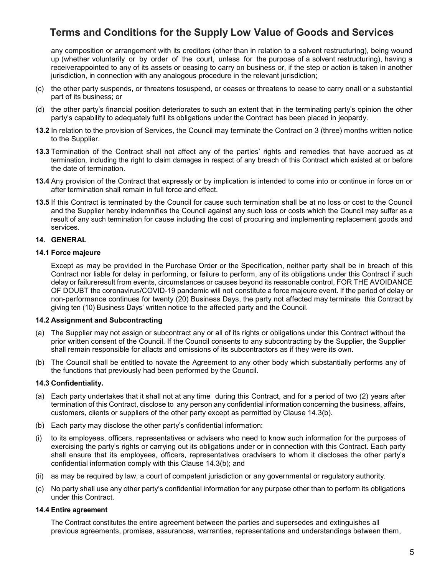any composition or arrangement with its creditors (other than in relation to a solvent restructuring), being wound up (whether voluntarily or by order of the court, unless for the purpose of a solvent restructuring), having a jurisdiction, in connection with any analogous procedure in the relevant jurisdiction; receiverappointed to any of its assets or ceasing to carry on business or, if the step or action is taken in another

- (c) the other party suspends, or threatens tosuspend, or ceases or threatens to cease to carry onall or a substantial part of its business; or
- (d) the other party's financial position deteriorates to such an extent that in the terminating party's opinion the other party's capability to adequately fulfil its obligations under the Contract has been placed in jeopardy.
- **13.2** In relation to the provision of Services, the Council may terminate the Contract on 3 (three) months written notice to the Supplier.
- **13.3** Termination of the Contract shall not affect any of the parties' rights and remedies that have accrued as at termination, including the right to claim damages in respect of any breach of this Contract which existed at or before the date of termination.
- **13.4** Any provision of the Contract that expressly or by implication is intended to come into or continue in force on or after termination shall remain in full force and effect.
- result of any such termination for cause including the cost of procuring and implementing replacement goods and **13.5** If this Contract is terminated by the Council for cause such termination shall be at no loss or cost to the Council and the Supplier hereby indemnifies the Council against any such loss or costs which the Council may suffer as a services.

#### **14. GENERAL**

#### **14.1 Force majeure**

 Except as may be provided in the Purchase Order or the Specification, neither party shall be in breach of this Contract nor liable for delay in performing, or failure to perform, any of its obligations under this Contract if such delay or failureresult from events, circumstances or causes beyond its reasonable control, FOR THE AVOIDANCE OF DOUBT the coronavirus/COVID-19 pandemic will not constitute a force majeure event. If the period of delay or non-performance continues for twenty (20) Business Days, the party not affected may terminate this Contract by giving ten (10) Business Days' written notice to the affected party and the Council.

#### **14.2 Assignment and Subcontracting**

- prior written consent of the Council. If the Council consents to any subcontracting by the Supplier, the Supplier shall remain responsible for allacts and omissions of its subcontractors as if they were its own. (a) The Supplier may not assign or subcontract any or all of its rights or obligations under this Contract without the
- (b) The Council shall be entitled to novate the Agreement to any other body which substantially performs any of the functions that previously had been performed by the Council.

#### **14.3 Confidentiality.**

- (a) Each party undertakes that it shall not at any time during this Contract, and for a period of two (2) years after termination of this Contract, disclose to any person any confidential information concerning the business, affairs, customers, clients or suppliers of the other party except as permitted by Clause 14.3(b).
- (b) Each party may disclose the other party's confidential information:
- (i) to its employees, officers, representatives or advisers who need to know such information for the purposes of exercising the party's rights or carrying out its obligations under or in connection with this Contract. Each party shall ensure that its employees, officers, representatives oradvisers to whom it discloses the other party's confidential information comply with this Clause 14.3(b); and
- (ii) as may be required by law, a court of competent jurisdiction or any governmental or regulatory authority.
- (c) No party shall use any other party's confidential information for any purpose other than to perform its obligations under this Contract.

#### **14.4 Entire agreement**

 The Contract constitutes the entire agreement between the parties and supersedes and extinguishes all previous agreements, promises, assurances, warranties, representations and understandings between them,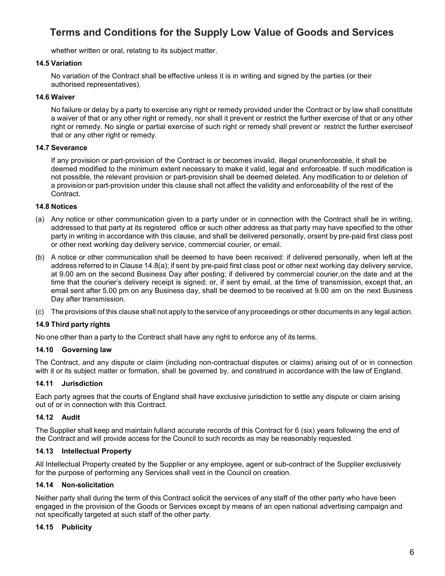whether written or oral, relating to its subject matter.

# **14.5 Variation**

 No variation of the Contract shall be effective unless it is in writing and signed by the parties (or their authorised representatives).

#### **14.6 Waiver**

 a waiver of that or any other right or remedy, nor shall it prevent or restrict the further exercise of that or any other right or remedy. No single or partial exercise of such right or remedy shall prevent or restrict the further exerciseof that or any other right or remedy. No failure or delay by a party to exercise any right or remedy provided under the Contract or by law shall constitute

#### **14.7 Severance**

 If any provision or part-provision of the Contract is or becomes invalid, illegal orunenforceable, it shall be deemed modified to the minimum extent necessary to make it valid, legal and enforceable. If such modification is not possible, the relevant provision or part-provision shall be deemed deleted. Any modification to or deletion of a provision or part-provision under this clause shall not affect the validity and enforceability of the rest of the Contract.

#### **14.8 Notices**

- (a) Any notice or other communication given to a party under or in connection with the Contract shall be in writing, addressed to that party at its registered office or such other address as that party may have specified to the other party in writing in accordance with this clause, and shall be delivered personally, orsent by pre-paid first class post or other next working day delivery service, commercial courier, or email.
- (b) A notice or other communication shall be deemed to have been received: if delivered personally, when left at the address referred to in Clause 14.8(a); if sent by pre-paid first class post or other next working day delivery service, at 9.00 am on the second Business Day after posting; if delivered by commercial courier,on the date and at the time that the courier's delivery receipt is signed; or, if sent by email, at the time of transmission, except that, an email sent after 5.00 pm on any Business day, shall be deemed to be received at 9.00 am on the next Business Day after transmission.
- (c) The provisions of this clause shall not apply to the service of any proceedings or other documents in any legal action.

# **14.9 Third party rights**

No one other than a party to the Contract shall have any right to enforce any of its terms.

# **14.10 Governing law**

 The Contract, and any dispute or claim (including non-contractual disputes or claims) arising out of or in connection with it or its subject matter or formation, shall be governed by, and construed in accordance with the law of England.

#### **14.11 Jurisdiction**

 Each party agrees that the courts of England shall have exclusive jurisdiction to settle any dispute or claim arising out of or in connection with this Contract.

# **14.12 Audit**

 The Supplier shall keep and maintain fulland accurate records of this Contract for 6 (six) years following the end of the Contract and will provide access for the Council to such records as may be reasonably requested.

#### **14.13 Intellectual Property**

 All Intellectual Property created by the Supplier or any employee, agent or sub-contract of the Supplier exclusively for the purpose of performing any Services shall vest in the Council on creation.

#### **14.14 Non-solicitation**

 Neither party shall during the term of this Contract solicit the services of any staff of the other party who have been engaged in the provision of the Goods or Services except by means of an open national advertising campaign and not specifically targeted at such staff of the other party.

#### **14.15 Publicity**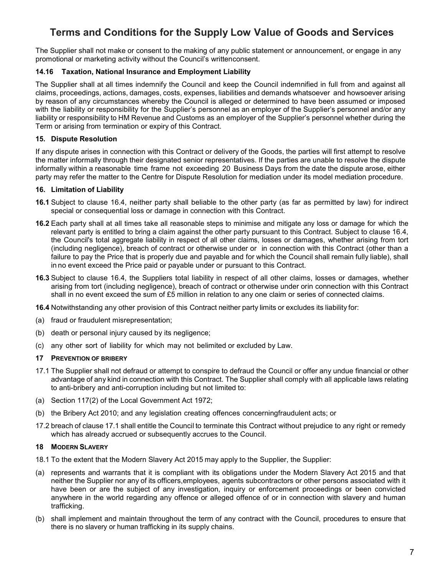The Supplier shall not make or consent to the making of any public statement or announcement, or engage in any promotional or marketing activity without the Council's writtenconsent.

# **14.16 Taxation, National Insurance and Employment Liability**

 The Supplier shall at all times indemnify the Council and keep the Council indemnified in full from and against all claims, proceedings, actions, damages, costs, expenses, liabilities and demands whatsoever and howsoever arising by reason of any circumstances whereby the Council is alleged or determined to have been assumed or imposed with the liability or responsibility for the Supplier's personnel as an employer of the Supplier's personnel and/or any liability or responsibility to HM Revenue and Customs as an employer of the Supplier's personnel whether during the Term or arising from termination or expiry of this Contract.

### **15. Dispute Resolution**

 If any dispute arises in connection with this Contract or delivery of the Goods, the parties will first attempt to resolve the matter informally through their designated senior representatives. If the parties are unable to resolve the dispute informally within a reasonable time frame not exceeding 20 Business Days from the date the dispute arose, either party may refer the matter to the Centre for Dispute Resolution for mediation under its model mediation procedure.

# **16. Limitation of Liability**

- **16.1** Subject to clause 16.4, neither party shall beliable to the other party (as far as permitted by law) for indirect special or consequential loss or damage in connection with this Contract.
- **16.2** Each party shall at all times take all reasonable steps to minimise and mitigate any loss or damage for which the relevant party is entitled to bring a claim against the other party pursuant to this Contract. Subject to clause 16.4, the Council's total aggregate liability in respect of all other claims, losses or damages, whether arising from tort (including negligence), breach of contract or otherwise under or in connection with this Contract (other than a failure to pay the Price that is properly due and payable and for which the Council shall remain fully liable), shall in no event exceed the Price paid or payable under or pursuant to this Contract.
- **16.3** Subject to clause 16.4, the Suppliers total liability in respect of all other claims, losses or damages, whether arising from tort (including negligence), breach of contract or otherwise under orin connection with this Contract shall in no event exceed the sum of £5 million in relation to any one claim or series of connected claims.

**16.4** Notwithstanding any other provision of this Contract neither party limits or excludes its liability for:

- (a) fraud or fraudulent misrepresentation;
- (b) death or personal injury caused by its negligence;
- (c) any other sort of liability for which may not belimited or excluded by Law.

### **17 PREVENTION OF BRIBERY**

- 17.1 The Supplier shall not defraud or attempt to conspire to defraud the Council or offer any undue financial or other advantage of any kind in connection with this Contract. The Supplier shall comply with all applicable laws relating to anti-bribery and anti-corruption including but not limited to:
- (a) Section 117(2) of the Local Government Act 1972;
- (b) the Bribery Act 2010; and any legislation creating offences concerningfraudulent acts; or
- 17.2 breach of clause 17.1 shall entitle the Council to terminate this Contract without prejudice to any right or remedy which has already accrued or subsequently accrues to the Council.

# **18 MODERN SLAVERY**

- 18.1 To the extent that the Modern Slavery Act 2015 may apply to the Supplier, the Supplier:
- (a) represents and warrants that it is compliant with its obligations under the Modern Slavery Act 2015 and that neither the Supplier nor any of its officers,employees, agents subcontractors or other persons associated with it have been or are the subject of any investigation, inquiry or enforcement proceedings or been convicted anywhere in the world regarding any offence or alleged offence of or in connection with slavery and human trafficking.
- (b) shall implement and maintain throughout the term of any contract with the Council, procedures to ensure that there is no slavery or human trafficking in its supply chains.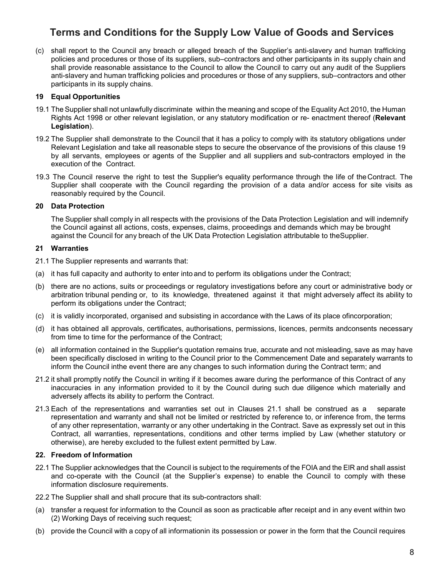(c) shall report to the Council any breach or alleged breach of the Supplier's anti-slavery and human trafficking shall provide reasonable assistance to the Council to allow the Council to carry out any audit of the Suppliers participants in its supply chains. policies and procedures or those of its suppliers, sub–contractors and other participants in its supply chain and anti-slavery and human trafficking policies and procedures or those of any suppliers, sub–contractors and other

# **19 Equal Opportunities**

- 19.1 The Supplier shall not unlawfully discriminate within the meaning and scope of the Equality Act 2010, the Human Rights Act 1998 or other relevant legislation, or any statutory modification or re- enactment thereof (**Relevant Legislation**).
- 19.2 The Supplier shall demonstrate to the Council that it has a policy to comply with its statutory obligations under Relevant Legislation and take all reasonable steps to secure the observance of the provisions of this clause 19 by all servants, employees or agents of the Supplier and all suppliers and sub-contractors employed in the execution of the Contract.
- 19.3 The Council reserve the right to test the Supplier's equality performance through the life of theContract. The Supplier shall cooperate with the Council regarding the provision of a data and/or access for site visits as reasonably required by the Council.

# **20 Data Protection**

 The Supplier shall comply in all respects with the provisions of the Data Protection Legislation and will indemnify the Council against all actions, costs, expenses, claims, proceedings and demands which may be brought against the Council for any breach of the UK Data Protection Legislation attributable to theSupplier.

# **21 Warranties**

21.1 The Supplier represents and warrants that:

- (a) it has full capacity and authority to enter into and to perform its obligations under the Contract;
- (b) there are no actions, suits or proceedings or regulatory investigations before any court or administrative body or arbitration tribunal pending or, to its knowledge, threatened against it that might adversely affect its ability to perform its obligations under the Contract;
- (c) it is validly incorporated, organised and subsisting in accordance with the Laws of its place ofincorporation;
- (d) it has obtained all approvals, certificates, authorisations, permissions, licences, permits andconsents necessary from time to time for the performance of the Contract;
- (e) all information contained in the Supplier's quotation remains true, accurate and not misleading, save as may have been specifically disclosed in writing to the Council prior to the Commencement Date and separately warrants to inform the Council inthe event there are any changes to such information during the Contract term; and
- 21.2 it shall promptly notify the Council in writing if it becomes aware during the performance of this Contract of any inaccuracies in any information provided to it by the Council during such due diligence which materially and adversely affects its ability to perform the Contract.
- 21.3 Each of the representations and warranties set out in Clauses 21.1 shall be construed as a separate representation and warranty and shall not be limited or restricted by reference to, or inference from, the terms of any other representation, warranty or any other undertaking in the Contract. Save as expressly set out in this Contract, all warranties, representations, conditions and other terms implied by Law (whether statutory or otherwise), are hereby excluded to the fullest extent permitted by Law.

# **22. Freedom of Information**

- and co-operate with the Council (at the Supplier's expense) to enable the Council to comply with these information disclosure requirements. 22.1 The Supplier acknowledges that the Council is subject to the requirements of the FOIA and the EIR and shall assist
- 22.2 The Supplier shall and shall procure that its sub-contractors shall:
- (a) transfer a request for information to the Council as soon as practicable after receipt and in any event within two (2) Working Days of receiving such request;
- (b) provide the Council with a copy of all informationin its possession or power in the form that the Council requires